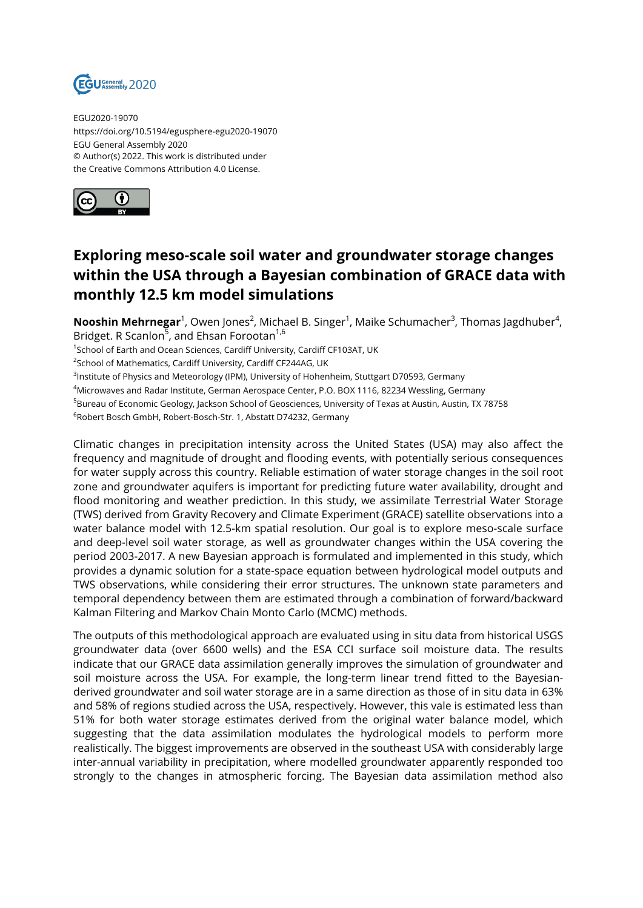

EGU2020-19070 https://doi.org/10.5194/egusphere-egu2020-19070 EGU General Assembly 2020 © Author(s) 2022. This work is distributed under the Creative Commons Attribution 4.0 License.



## **Exploring meso-scale soil water and groundwater storage changes within the USA through a Bayesian combination of GRACE data with monthly 12.5 km model simulations**

**Nooshin Mehrnegar**<sup>1</sup>, Owen Jones<sup>2</sup>, Michael B. Singer<sup>1</sup>, Maike Schumacher<sup>3</sup>, Thomas Jagdhuber<sup>4</sup>, Bridget. R Scanlon<sup>5</sup>, and Ehsan Forootan<sup>1,6</sup>

<sup>1</sup>School of Earth and Ocean Sciences, Cardiff University, Cardiff CF103AT, UK

<sup>2</sup>School of Mathematics, Cardiff University, Cardiff CF244AG, UK

<sup>3</sup>Institute of Physics and Meteorology (IPM), University of Hohenheim, Stuttgart D70593, Germany

<sup>4</sup>Microwaves and Radar Institute, German Aerospace Center, P.O. BOX 1116, 82234 Wessling, Germany

<sup>5</sup>Bureau of Economic Geology, Jackson School of Geosciences, University of Texas at Austin, Austin, TX 78758

 $^6$ Robert Bosch GmbH, Robert-Bosch-Str. 1, Abstatt D74232, Germany

Climatic changes in precipitation intensity across the United States (USA) may also affect the frequency and magnitude of drought and flooding events, with potentially serious consequences for water supply across this country. Reliable estimation of water storage changes in the soil root zone and groundwater aquifers is important for predicting future water availability, drought and flood monitoring and weather prediction. In this study, we assimilate Terrestrial Water Storage (TWS) derived from Gravity Recovery and Climate Experiment (GRACE) satellite observations into a water balance model with 12.5-km spatial resolution. Our goal is to explore meso-scale surface and deep-level soil water storage, as well as groundwater changes within the USA covering the period 2003-2017. A new Bayesian approach is formulated and implemented in this study, which provides a dynamic solution for a state-space equation between hydrological model outputs and TWS observations, while considering their error structures. The unknown state parameters and temporal dependency between them are estimated through a combination of forward/backward Kalman Filtering and Markov Chain Monto Carlo (MCMC) methods.

The outputs of this methodological approach are evaluated using in situ data from historical USGS groundwater data (over 6600 wells) and the ESA CCI surface soil moisture data. The results indicate that our GRACE data assimilation generally improves the simulation of groundwater and soil moisture across the USA. For example, the long-term linear trend fitted to the Bayesianderived groundwater and soil water storage are in a same direction as those of in situ data in 63% and 58% of regions studied across the USA, respectively. However, this vale is estimated less than 51% for both water storage estimates derived from the original water balance model, which suggesting that the data assimilation modulates the hydrological models to perform more realistically. The biggest improvements are observed in the southeast USA with considerably large inter-annual variability in precipitation, where modelled groundwater apparently responded too strongly to the changes in atmospheric forcing. The Bayesian data assimilation method also